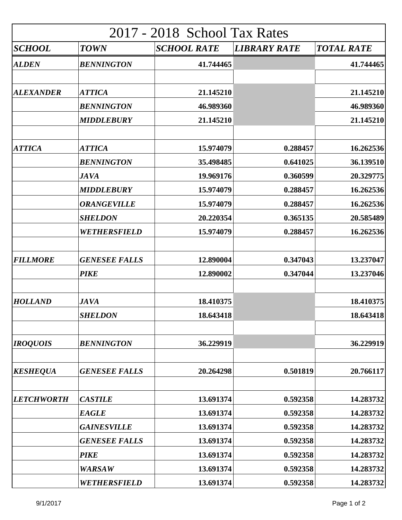| 2017 - 2018 School Tax Rates |                               |                        |                     |                        |  |  |
|------------------------------|-------------------------------|------------------------|---------------------|------------------------|--|--|
| <i><b>SCHOOL</b></i>         | <b>TOWN</b>                   | <b>SCHOOL RATE</b>     | <b>LIBRARY RATE</b> | <b>TOTAL RATE</b>      |  |  |
| <b>ALDEN</b>                 | <b>BENNINGTON</b>             | 41.744465              |                     | 41.744465              |  |  |
| <b>ALEXANDER</b>             | <b>ATTICA</b>                 | 21.145210              |                     | 21.145210              |  |  |
|                              | <b>BENNINGTON</b>             | 46.989360              |                     | 46.989360              |  |  |
|                              | <b>MIDDLEBURY</b>             | 21.145210              |                     | 21.145210              |  |  |
| <b>ATTICA</b>                | <b>ATTICA</b>                 | 15.974079              | 0.288457            | 16.262536              |  |  |
|                              | <b>BENNINGTON</b>             | 35.498485              | 0.641025            | 36.139510              |  |  |
|                              | <b>JAVA</b>                   | 19.969176              | 0.360599            | 20.329775              |  |  |
|                              | <b>MIDDLEBURY</b>             | 15.974079              | 0.288457            | 16.262536              |  |  |
|                              | <b>ORANGEVILLE</b>            | 15.974079              | 0.288457            | 16.262536              |  |  |
|                              | <b>SHELDON</b>                | 20.220354              | 0.365135            | 20.585489              |  |  |
|                              | WETHERSFIELD                  | 15.974079              | 0.288457            | 16.262536              |  |  |
| <b>FILLMORE</b>              | <b>GENESEE FALLS</b>          | 12.890004              | 0.347043            | 13.237047              |  |  |
|                              | <b>PIKE</b>                   | 12.890002              | 0.347044            | 13.237046              |  |  |
| <b>HOLLAND</b>               | <b>JAVA</b><br><b>SHELDON</b> | 18.410375<br>18.643418 |                     | 18.410375<br>18.643418 |  |  |
|                              |                               |                        |                     |                        |  |  |
| <b>IROQUOIS</b>              | <b>BENNINGTON</b>             | 36.229919              |                     | 36.229919              |  |  |
| <b>KESHEQUA</b>              | <b>GENESEE FALLS</b>          | 20.264298              | 0.501819            | 20.766117              |  |  |
| <b>LETCHWORTH</b>            | <b>CASTILE</b>                | 13.691374              | 0.592358            | 14.283732              |  |  |
|                              | <b>EAGLE</b>                  | 13.691374              | 0.592358            | 14.283732              |  |  |
|                              | <b>GAINESVILLE</b>            | 13.691374              | 0.592358            | 14.283732              |  |  |
|                              | <b>GENESEE FALLS</b>          | 13.691374              | 0.592358            | 14.283732              |  |  |
|                              | <b>PIKE</b>                   | 13.691374              | 0.592358            | 14.283732              |  |  |
|                              | <b>WARSAW</b>                 | 13.691374              | 0.592358            | 14.283732              |  |  |
|                              | WETHERSFIELD                  | 13.691374              | 0.592358            | 14.283732              |  |  |